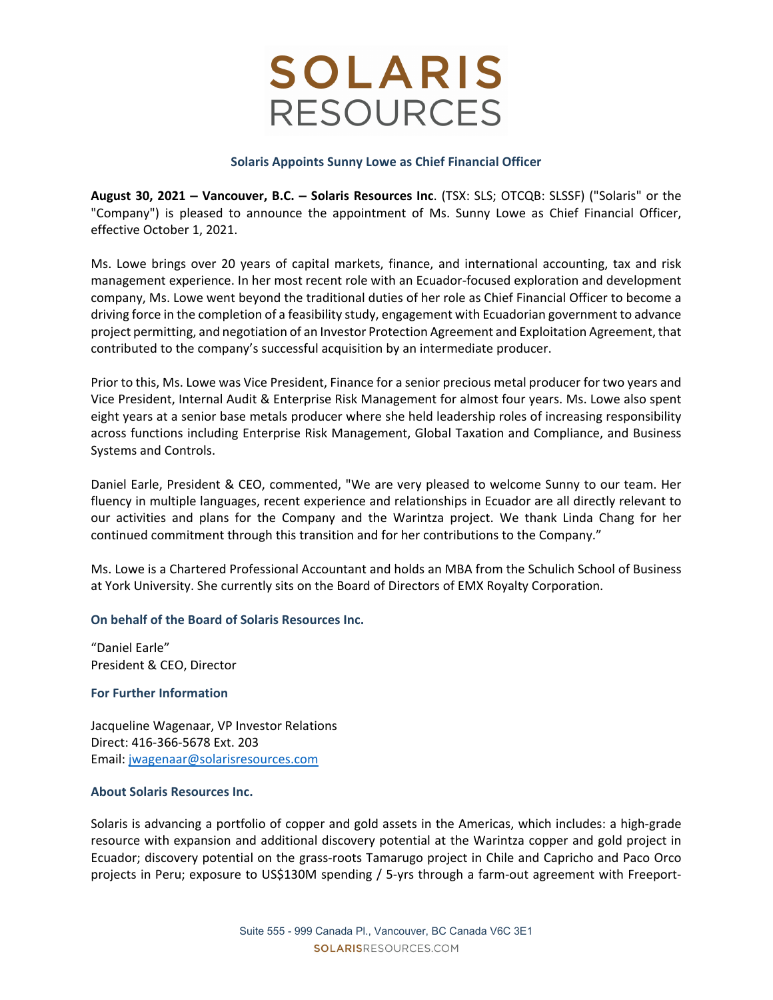# **SOLARIS RESOURCES**

### **Solaris Appoints Sunny Lowe as Chief Financial Officer**

**August 30, 2021 – Vancouver, B.C. – Solaris Resources Inc**. (TSX: SLS; OTCQB: SLSSF) ("Solaris" or the "Company") is pleased to announce the appointment of Ms. Sunny Lowe as Chief Financial Officer, effective October 1, 2021.

Ms. Lowe brings over 20 years of capital markets, finance, and international accounting, tax and risk management experience. In her most recent role with an Ecuador‐focused exploration and development company, Ms. Lowe went beyond the traditional duties of her role as Chief Financial Officer to become a driving force in the completion of a feasibility study, engagement with Ecuadorian government to advance project permitting, and negotiation of an Investor Protection Agreement and Exploitation Agreement, that contributed to the company's successful acquisition by an intermediate producer.

Prior to this, Ms. Lowe was Vice President, Finance for a senior precious metal producer for two years and Vice President, Internal Audit & Enterprise Risk Management for almost four years. Ms. Lowe also spent eight years at a senior base metals producer where she held leadership roles of increasing responsibility across functions including Enterprise Risk Management, Global Taxation and Compliance, and Business Systems and Controls.

Daniel Earle, President & CEO, commented, "We are very pleased to welcome Sunny to our team. Her fluency in multiple languages, recent experience and relationships in Ecuador are all directly relevant to our activities and plans for the Company and the Warintza project. We thank Linda Chang for her continued commitment through this transition and for her contributions to the Company."

Ms. Lowe is a Chartered Professional Accountant and holds an MBA from the Schulich School of Business at York University. She currently sits on the Board of Directors of EMX Royalty Corporation.

### **On behalf of the Board of Solaris Resources Inc.**

"Daniel Earle" President & CEO, Director

### **For Further Information**

Jacqueline Wagenaar, VP Investor Relations Direct: 416‐366‐5678 Ext. 203 Email: jwagenaar@solarisresources.com

#### **About Solaris Resources Inc.**

Solaris is advancing a portfolio of copper and gold assets in the Americas, which includes: a high‐grade resource with expansion and additional discovery potential at the Warintza copper and gold project in Ecuador; discovery potential on the grass‐roots Tamarugo project in Chile and Capricho and Paco Orco projects in Peru; exposure to US\$130M spending / 5-yrs through a farm-out agreement with Freeport-